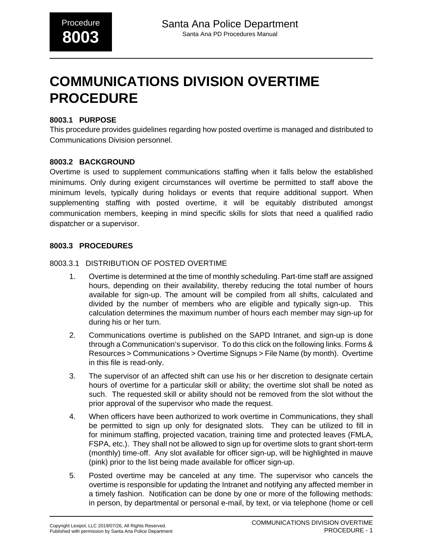# **COMMUNICATIONS DIVISION OVERTIME PROCEDURE**

### **8003.1 PURPOSE**

This procedure provides guidelines regarding how posted overtime is managed and distributed to Communications Division personnel.

### **8003.2 BACKGROUND**

Overtime is used to supplement communications staffing when it falls below the established minimums. Only during exigent circumstances will overtime be permitted to staff above the minimum levels, typically during holidays or events that require additional support. When supplementing staffing with posted overtime, it will be equitably distributed amongst communication members, keeping in mind specific skills for slots that need a qualified radio dispatcher or a supervisor.

### **8003.3 PROCEDURES**

#### 8003.3.1 DISTRIBUTION OF POSTED OVERTIME

- 1. Overtime is determined at the time of monthly scheduling. Part-time staff are assigned hours, depending on their availability, thereby reducing the total number of hours available for sign-up. The amount will be compiled from all shifts, calculated and divided by the number of members who are eligible and typically sign-up. This calculation determines the maximum number of hours each member may sign-up for during his or her turn.
- 2. Communications overtime is published on the SAPD Intranet, and sign-up is done through a Communication's supervisor. To do this click on the following links. Forms & Resources > Communications > Overtime Signups > File Name (by month). Overtime in this file is read-only.
- 3. The supervisor of an affected shift can use his or her discretion to designate certain hours of overtime for a particular skill or ability; the overtime slot shall be noted as such. The requested skill or ability should not be removed from the slot without the prior approval of the supervisor who made the request.
- 4. When officers have been authorized to work overtime in Communications, they shall be permitted to sign up only for designated slots. They can be utilized to fill in for minimum staffing, projected vacation, training time and protected leaves (FMLA, FSPA, etc.). They shall not be allowed to sign up for overtime slots to grant short-term (monthly) time-off. Any slot available for officer sign-up, will be highlighted in mauve (pink) prior to the list being made available for officer sign-up.
- 5. Posted overtime may be canceled at any time. The supervisor who cancels the overtime is responsible for updating the Intranet and notifying any affected member in a timely fashion. Notification can be done by one or more of the following methods: in person, by departmental or personal e-mail, by text, or via telephone (home or cell